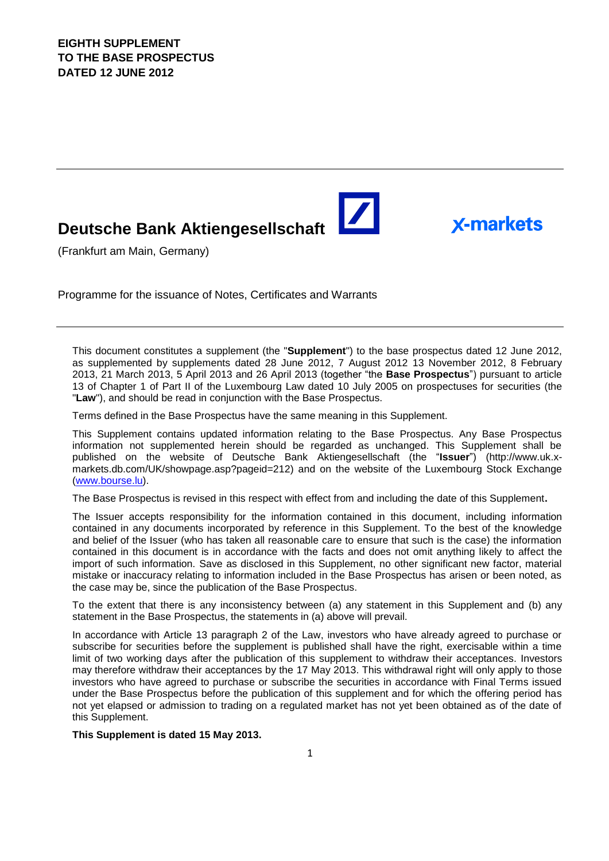# **Deutsche Bank Aktiengesellschaft**

(Frankfurt am Main, Germany)

Programme for the issuance of Notes, Certificates and Warrants

This document constitutes a supplement (the "**Supplement**") to the base prospectus dated 12 June 2012, as supplemented by supplements dated 28 June 2012, 7 August 2012 13 November 2012, 8 February 2013, 21 March 2013, 5 April 2013 and 26 April 2013 (together "the **Base Prospectus**") pursuant to article 13 of Chapter 1 of Part II of the Luxembourg Law dated 10 July 2005 on prospectuses for securities (the "**Law**"), and should be read in conjunction with the Base Prospectus.

 $\blacktriangleright$ 

**X-markets** 

Terms defined in the Base Prospectus have the same meaning in this Supplement.

This Supplement contains updated information relating to the Base Prospectus. Any Base Prospectus information not supplemented herein should be regarded as unchanged. This Supplement shall be published on the website of Deutsche Bank Aktiengesellschaft (the "**Issuer**") (http://www.uk.xmarkets.db.com/UK/showpage.asp?pageid=212) and on the website of the Luxembourg Stock Exchange [\(www.bourse.lu\)](http://www.bourse.lu/).

The Base Prospectus is revised in this respect with effect from and including the date of this Supplement**.**

The Issuer accepts responsibility for the information contained in this document, including information contained in any documents incorporated by reference in this Supplement. To the best of the knowledge and belief of the Issuer (who has taken all reasonable care to ensure that such is the case) the information contained in this document is in accordance with the facts and does not omit anything likely to affect the import of such information. Save as disclosed in this Supplement, no other significant new factor, material mistake or inaccuracy relating to information included in the Base Prospectus has arisen or been noted, as the case may be, since the publication of the Base Prospectus.

To the extent that there is any inconsistency between (a) any statement in this Supplement and (b) any statement in the Base Prospectus, the statements in (a) above will prevail.

In accordance with Article 13 paragraph 2 of the Law, investors who have already agreed to purchase or subscribe for securities before the supplement is published shall have the right, exercisable within a time limit of two working days after the publication of this supplement to withdraw their acceptances. Investors may therefore withdraw their acceptances by the 17 May 2013. This withdrawal right will only apply to those investors who have agreed to purchase or subscribe the securities in accordance with Final Terms issued under the Base Prospectus before the publication of this supplement and for which the offering period has not yet elapsed or admission to trading on a regulated market has not yet been obtained as of the date of this Supplement.

**This Supplement is dated 15 May 2013.**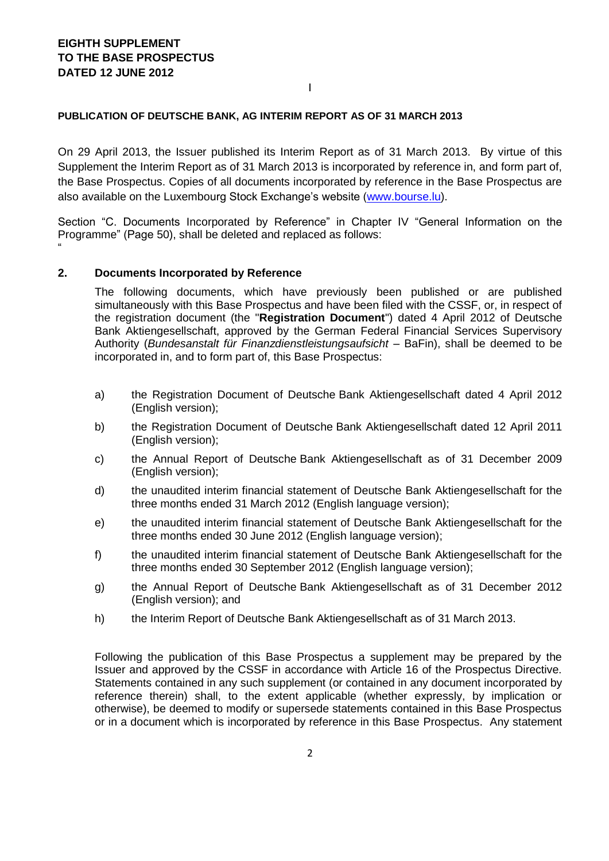"

#### **PUBLICATION OF DEUTSCHE BANK, AG INTERIM REPORT AS OF 31 MARCH 2013**

On 29 April 2013, the Issuer published its Interim Report as of 31 March 2013. By virtue of this Supplement the Interim Report as of 31 March 2013 is incorporated by reference in, and form part of, the Base Prospectus. Copies of all documents incorporated by reference in the Base Prospectus are also available on the Luxembourg Stock Exchange's website [\(www.bourse.lu\)](http://www.bourse.lu/).

I

Section "C. Documents Incorporated by Reference" in Chapter IV "General Information on the Programme" (Page 50), shall be deleted and replaced as follows:

#### **2. Documents Incorporated by Reference**

The following documents, which have previously been published or are published simultaneously with this Base Prospectus and have been filed with the CSSF, or, in respect of the registration document (the "**Registration Document**") dated 4 April 2012 of Deutsche Bank Aktiengesellschaft, approved by the German Federal Financial Services Supervisory Authority (*Bundesanstalt für Finanzdienstleistungsaufsicht –* BaFin), shall be deemed to be incorporated in, and to form part of, this Base Prospectus:

- a) the Registration Document of Deutsche Bank Aktiengesellschaft dated 4 April 2012 (English version);
- b) the Registration Document of Deutsche Bank Aktiengesellschaft dated 12 April 2011 (English version);
- c) the Annual Report of Deutsche Bank Aktiengesellschaft as of 31 December 2009 (English version);
- d) the unaudited interim financial statement of Deutsche Bank Aktiengesellschaft for the three months ended 31 March 2012 (English language version);
- e) the unaudited interim financial statement of Deutsche Bank Aktiengesellschaft for the three months ended 30 June 2012 (English language version);
- f) the unaudited interim financial statement of Deutsche Bank Aktiengesellschaft for the three months ended 30 September 2012 (English language version);
- g) the Annual Report of Deutsche Bank Aktiengesellschaft as of 31 December 2012 (English version); and
- h) the Interim Report of Deutsche Bank Aktiengesellschaft as of 31 March 2013.

Following the publication of this Base Prospectus a supplement may be prepared by the Issuer and approved by the CSSF in accordance with Article 16 of the Prospectus Directive. Statements contained in any such supplement (or contained in any document incorporated by reference therein) shall, to the extent applicable (whether expressly, by implication or otherwise), be deemed to modify or supersede statements contained in this Base Prospectus or in a document which is incorporated by reference in this Base Prospectus. Any statement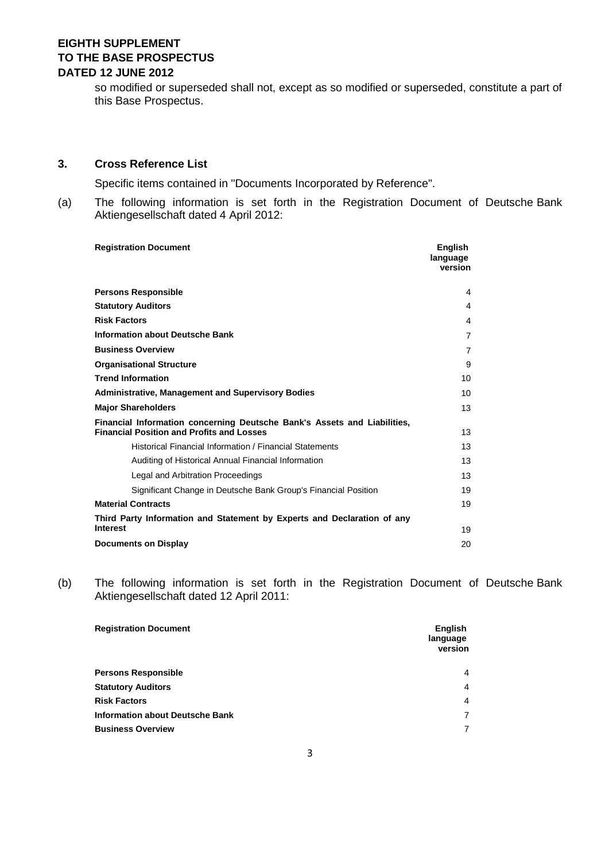so modified or superseded shall not, except as so modified or superseded, constitute a part of this Base Prospectus.

#### **3. Cross Reference List**

Specific items contained in "Documents Incorporated by Reference".

(a) The following information is set forth in the Registration Document of Deutsche Bank Aktiengesellschaft dated 4 April 2012:

| <b>Registration Document</b>                                                                                                 | <b>Enalish</b><br>language<br>version |
|------------------------------------------------------------------------------------------------------------------------------|---------------------------------------|
| <b>Persons Responsible</b>                                                                                                   | 4                                     |
| <b>Statutory Auditors</b>                                                                                                    | 4                                     |
| <b>Risk Factors</b>                                                                                                          | 4                                     |
| <b>Information about Deutsche Bank</b>                                                                                       | $\overline{7}$                        |
| <b>Business Overview</b>                                                                                                     | $\overline{7}$                        |
| <b>Organisational Structure</b>                                                                                              | 9                                     |
| <b>Trend Information</b>                                                                                                     | 10                                    |
| <b>Administrative, Management and Supervisory Bodies</b>                                                                     | 10                                    |
| <b>Major Shareholders</b>                                                                                                    | 13                                    |
| Financial Information concerning Deutsche Bank's Assets and Liabilities,<br><b>Financial Position and Profits and Losses</b> | 13                                    |
| Historical Financial Information / Financial Statements                                                                      | 13                                    |
| Auditing of Historical Annual Financial Information                                                                          | 13                                    |
| Legal and Arbitration Proceedings                                                                                            | 13                                    |
| Significant Change in Deutsche Bank Group's Financial Position                                                               | 19                                    |
| <b>Material Contracts</b>                                                                                                    | 19                                    |
| Third Party Information and Statement by Experts and Declaration of any<br><b>Interest</b>                                   | 19                                    |
| <b>Documents on Display</b>                                                                                                  | 20                                    |

(b) The following information is set forth in the Registration Document of Deutsche Bank Aktiengesellschaft dated 12 April 2011:

| <b>Registration Document</b>           | <b>English</b><br>language<br>version |
|----------------------------------------|---------------------------------------|
| <b>Persons Responsible</b>             | 4                                     |
| <b>Statutory Auditors</b>              | $\overline{4}$                        |
| <b>Risk Factors</b>                    | 4                                     |
| <b>Information about Deutsche Bank</b> | $\overline{7}$                        |
| <b>Business Overview</b>               | $\overline{7}$                        |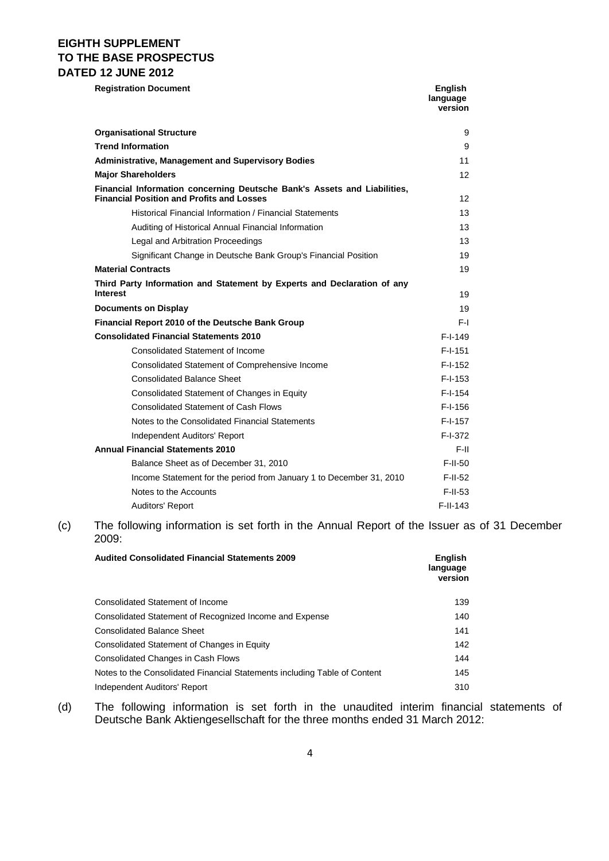**Registration Document English** 

|                                                                                                                              | language<br>version |
|------------------------------------------------------------------------------------------------------------------------------|---------------------|
| <b>Organisational Structure</b>                                                                                              | 9                   |
| <b>Trend Information</b>                                                                                                     | 9                   |
| <b>Administrative, Management and Supervisory Bodies</b>                                                                     | 11                  |
| <b>Major Shareholders</b>                                                                                                    | 12                  |
| Financial Information concerning Deutsche Bank's Assets and Liabilities,<br><b>Financial Position and Profits and Losses</b> | $12 \overline{ }$   |
| Historical Financial Information / Financial Statements                                                                      | 13 <sup>13</sup>    |
| Auditing of Historical Annual Financial Information                                                                          | 13                  |
| Legal and Arbitration Proceedings                                                                                            | 13                  |
| Significant Change in Deutsche Bank Group's Financial Position                                                               | 19                  |
| <b>Material Contracts</b>                                                                                                    | 19                  |
| Third Party Information and Statement by Experts and Declaration of any<br><b>Interest</b>                                   | 19                  |
| <b>Documents on Display</b>                                                                                                  | 19                  |
| Financial Report 2010 of the Deutsche Bank Group                                                                             | F-L                 |
| <b>Consolidated Financial Statements 2010</b>                                                                                | $F-I-149$           |
| Consolidated Statement of Income                                                                                             | $F-I-151$           |
| Consolidated Statement of Comprehensive Income                                                                               | $F-I-152$           |
| <b>Consolidated Balance Sheet</b>                                                                                            | $F-I-153$           |
| Consolidated Statement of Changes in Equity                                                                                  | $F-I-154$           |
| <b>Consolidated Statement of Cash Flows</b>                                                                                  | $F-I-156$           |
| Notes to the Consolidated Financial Statements                                                                               | $F-I-157$           |
| Independent Auditors' Report                                                                                                 | F-I-372             |
| <b>Annual Financial Statements 2010</b>                                                                                      | F-II                |
| Balance Sheet as of December 31, 2010                                                                                        | $F$ -II-50          |
| Income Statement for the period from January 1 to December 31, 2010                                                          | $F-II-52$           |
| Notes to the Accounts                                                                                                        | $F-II-53$           |
| Auditors' Report                                                                                                             | $F-II-143$          |

(c) The following information is set forth in the Annual Report of the Issuer as of 31 December 2009:

| <b>Audited Consolidated Financial Statements 2009</b>                     | <b>English</b><br>language<br>version |
|---------------------------------------------------------------------------|---------------------------------------|
| <b>Consolidated Statement of Income</b>                                   | 139                                   |
| Consolidated Statement of Recognized Income and Expense                   | 140                                   |
| <b>Consolidated Balance Sheet</b>                                         | 141                                   |
| Consolidated Statement of Changes in Equity                               | 142                                   |
| Consolidated Changes in Cash Flows                                        | 144                                   |
| Notes to the Consolidated Financial Statements including Table of Content | 145                                   |
| Independent Auditors' Report                                              | 310                                   |

(d) The following information is set forth in the unaudited interim financial statements of Deutsche Bank Aktiengesellschaft for the three months ended 31 March 2012: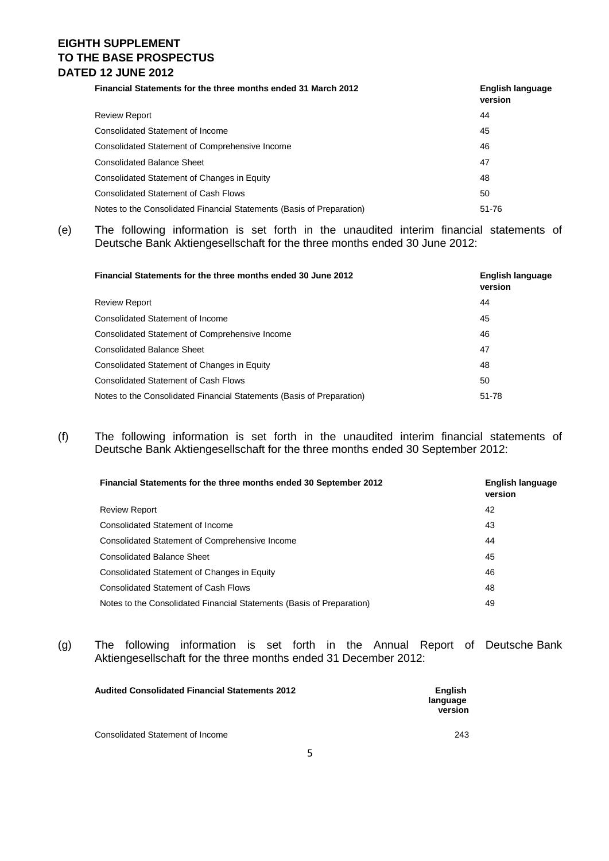## **EIGHTH SUPPLEMENT TO THE BASE PROSPECTUS DATED 12 JUNE 2012**

| Financial Statements for the three months ended 31 March 2012         | English language<br>version |
|-----------------------------------------------------------------------|-----------------------------|
| <b>Review Report</b>                                                  | 44                          |
| Consolidated Statement of Income                                      | 45                          |
| Consolidated Statement of Comprehensive Income                        | 46                          |
| <b>Consolidated Balance Sheet</b>                                     | 47                          |
| Consolidated Statement of Changes in Equity                           | 48                          |
| <b>Consolidated Statement of Cash Flows</b>                           | 50                          |
| Notes to the Consolidated Financial Statements (Basis of Preparation) | 51-76                       |

(e) The following information is set forth in the unaudited interim financial statements of Deutsche Bank Aktiengesellschaft for the three months ended 30 June 2012:

| Financial Statements for the three months ended 30 June 2012          | <b>English language</b><br>version |
|-----------------------------------------------------------------------|------------------------------------|
| <b>Review Report</b>                                                  | 44                                 |
| Consolidated Statement of Income                                      | 45                                 |
| Consolidated Statement of Comprehensive Income                        | 46                                 |
| <b>Consolidated Balance Sheet</b>                                     | 47                                 |
| Consolidated Statement of Changes in Equity                           | 48                                 |
| <b>Consolidated Statement of Cash Flows</b>                           | 50                                 |
| Notes to the Consolidated Financial Statements (Basis of Preparation) | 51-78                              |

(f) The following information is set forth in the unaudited interim financial statements of Deutsche Bank Aktiengesellschaft for the three months ended 30 September 2012:

| Financial Statements for the three months ended 30 September 2012     | English language<br>version |
|-----------------------------------------------------------------------|-----------------------------|
| <b>Review Report</b>                                                  | 42                          |
| Consolidated Statement of Income                                      | 43                          |
| Consolidated Statement of Comprehensive Income                        | 44                          |
| <b>Consolidated Balance Sheet</b>                                     | 45                          |
| Consolidated Statement of Changes in Equity                           | 46                          |
| <b>Consolidated Statement of Cash Flows</b>                           | 48                          |
| Notes to the Consolidated Financial Statements (Basis of Preparation) | 49                          |

(g) The following information is set forth in the Annual Report of Deutsche Bank Aktiengesellschaft for the three months ended 31 December 2012:

| <b>Audited Consolidated Financial Statements 2012</b> | <b>English</b><br>language<br>version |
|-------------------------------------------------------|---------------------------------------|
| Consolidated Statement of Income                      | 243                                   |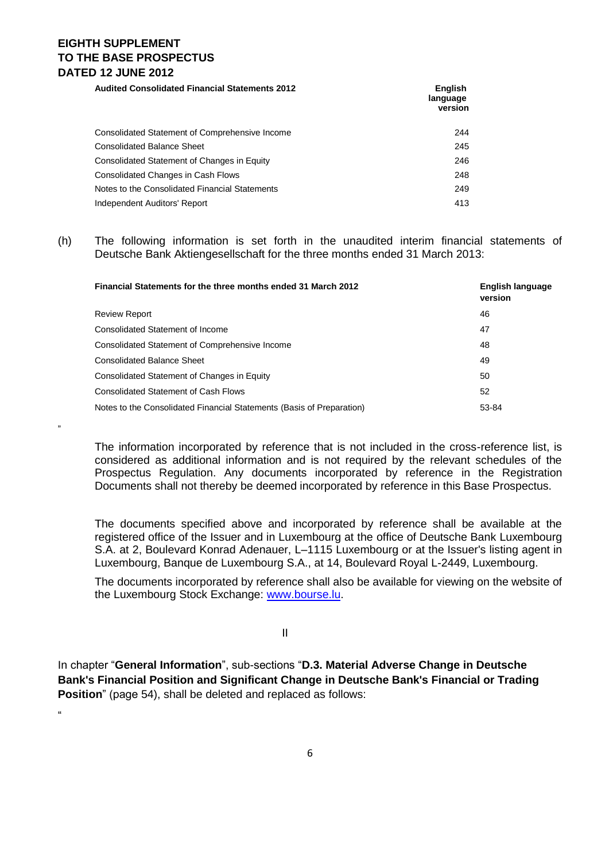## **EIGHTH SUPPLEMENT TO THE BASE PROSPECTUS DATED 12 JUNE 2012**

"

"

**Audited Consolidated Financial Statements 2012 English language version** Consolidated Statement of Comprehensive Income 244 Consolidated Balance Sheet 245 Consolidated Statement of Changes in Equity 246 Consolidated Changes in Cash Flows 248 Notes to the Consolidated Financial Statements 249 Independent Auditors' Report 413

### (h) The following information is set forth in the unaudited interim financial statements of Deutsche Bank Aktiengesellschaft for the three months ended 31 March 2013:

| Financial Statements for the three months ended 31 March 2012         | English language<br>version |
|-----------------------------------------------------------------------|-----------------------------|
| <b>Review Report</b>                                                  | 46                          |
| Consolidated Statement of Income                                      | 47                          |
| Consolidated Statement of Comprehensive Income                        | 48                          |
| <b>Consolidated Balance Sheet</b>                                     | 49                          |
| Consolidated Statement of Changes in Equity                           | 50                          |
| <b>Consolidated Statement of Cash Flows</b>                           | 52                          |
| Notes to the Consolidated Financial Statements (Basis of Preparation) | 53-84                       |

The information incorporated by reference that is not included in the cross-reference list, is considered as additional information and is not required by the relevant schedules of the Prospectus Regulation. Any documents incorporated by reference in the Registration Documents shall not thereby be deemed incorporated by reference in this Base Prospectus.

The documents specified above and incorporated by reference shall be available at the registered office of the Issuer and in Luxembourg at the office of Deutsche Bank Luxembourg S.A. at 2, Boulevard Konrad Adenauer, L–1115 Luxembourg or at the Issuer's listing agent in Luxembourg, Banque de Luxembourg S.A., at 14, Boulevard Royal L-2449, Luxembourg.

The documents incorporated by reference shall also be available for viewing on the website of the Luxembourg Stock Exchange: [www.bourse.lu.](http://www.bourse.lu/)

II

In chapter "**General Information**", sub-sections "**D.3. Material Adverse Change in Deutsche Bank's Financial Position and Significant Change in Deutsche Bank's Financial or Trading Position**" (page 54), shall be deleted and replaced as follows:

6